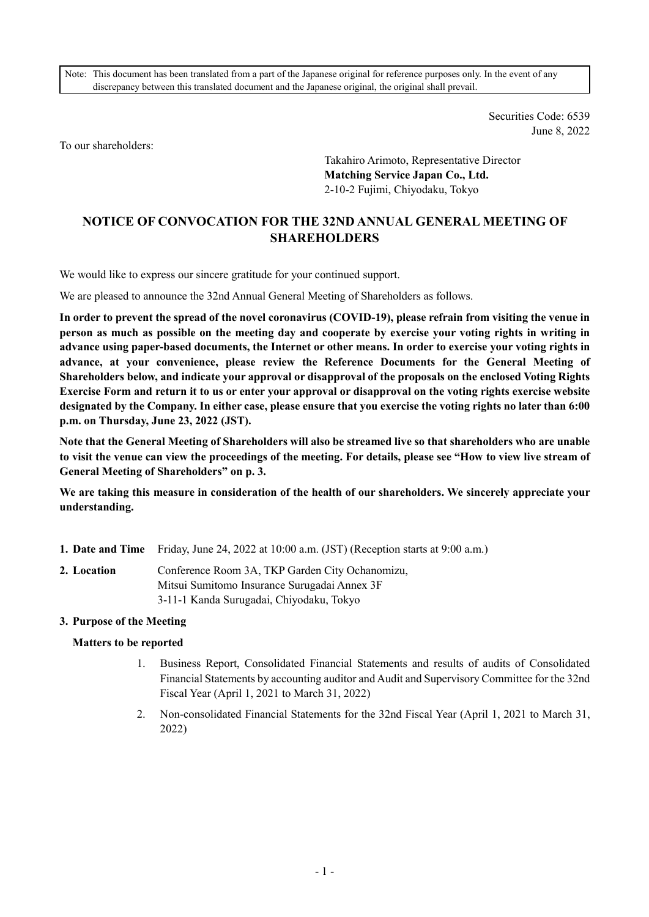Note: This document has been translated from a part of the Japanese original for reference purposes only. In the event of any discrepancy between this translated document and the Japanese original, the original shall prevail.

> Securities Code: 6539 June 8, 2022

To our shareholders:

Takahiro Arimoto, Representative Director **Matching Service Japan Co., Ltd.**  2-10-2 Fujimi, Chiyodaku, Tokyo

# **NOTICE OF CONVOCATION FOR THE 32ND ANNUAL GENERAL MEETING OF SHAREHOLDERS**

We would like to express our sincere gratitude for your continued support.

We are pleased to announce the 32nd Annual General Meeting of Shareholders as follows.

**In order to prevent the spread of the novel coronavirus (COVID-19), please refrain from visiting the venue in person as much as possible on the meeting day and cooperate by exercise your voting rights in writing in advance using paper-based documents, the Internet or other means. In order to exercise your voting rights in advance, at your convenience, please review the Reference Documents for the General Meeting of Shareholders below, and indicate your approval or disapproval of the proposals on the enclosed Voting Rights Exercise Form and return it to us or enter your approval or disapproval on the voting rights exercise website designated by the Company. In either case, please ensure that you exercise the voting rights no later than 6:00 p.m. on Thursday, June 23, 2022 (JST).** 

**Note that the General Meeting of Shareholders will also be streamed live so that shareholders who are unable to visit the venue can view the proceedings of the meeting. For details, please see "How to view live stream of General Meeting of Shareholders" on p. 3.** 

**We are taking this measure in consideration of the health of our shareholders. We sincerely appreciate your understanding.** 

- **1. Date and Time** Friday, June 24, 2022 at 10:00 a.m. (JST) (Reception starts at 9:00 a.m.)
- **2. Location** Conference Room 3A, TKP Garden City Ochanomizu, Mitsui Sumitomo Insurance Surugadai Annex 3F 3-11-1 Kanda Surugadai, Chiyodaku, Tokyo

#### **3. Purpose of the Meeting**

#### **Matters to be reported**

- 1. Business Report, Consolidated Financial Statements and results of audits of Consolidated Financial Statements by accounting auditor and Audit and Supervisory Committee for the 32nd Fiscal Year (April 1, 2021 to March 31, 2022)
- 2. Non-consolidated Financial Statements for the 32nd Fiscal Year (April 1, 2021 to March 31, 2022)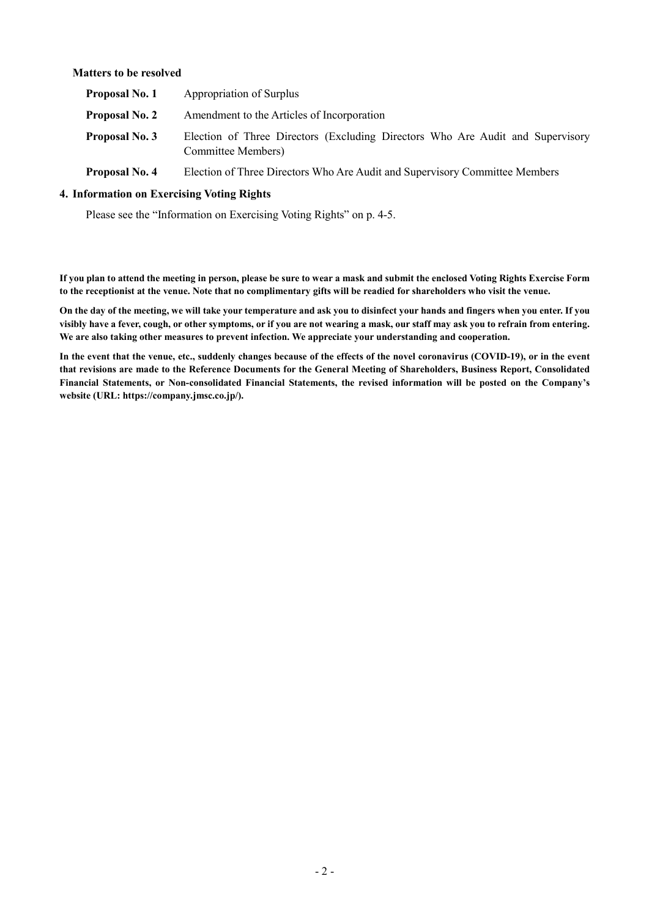### **Matters to be resolved**

| Proposal No. 1        | Appropriation of Surplus                                                                             |  |  |  |  |  |  |  |  |
|-----------------------|------------------------------------------------------------------------------------------------------|--|--|--|--|--|--|--|--|
| <b>Proposal No. 2</b> | Amendment to the Articles of Incorporation                                                           |  |  |  |  |  |  |  |  |
| <b>Proposal No. 3</b> | Election of Three Directors (Excluding Directors Who Are Audit and Supervisory<br>Committee Members) |  |  |  |  |  |  |  |  |

**Proposal No. 4** Election of Three Directors Who Are Audit and Supervisory Committee Members

### **4. Information on Exercising Voting Rights**

Please see the "Information on Exercising Voting Rights" on p. 4-5.

**If you plan to attend the meeting in person, please be sure to wear a mask and submit the enclosed Voting Rights Exercise Form to the receptionist at the venue. Note that no complimentary gifts will be readied for shareholders who visit the venue.** 

**On the day of the meeting, we will take your temperature and ask you to disinfect your hands and fingers when you enter. If you visibly have a fever, cough, or other symptoms, or if you are not wearing a mask, our staff may ask you to refrain from entering. We are also taking other measures to prevent infection. We appreciate your understanding and cooperation.** 

**In the event that the venue, etc., suddenly changes because of the effects of the novel coronavirus (COVID-19), or in the event that revisions are made to the Reference Documents for the General Meeting of Shareholders, Business Report, Consolidated Financial Statements, or Non-consolidated Financial Statements, the revised information will be posted on the Company's website (URL: https://company.jmsc.co.jp/).**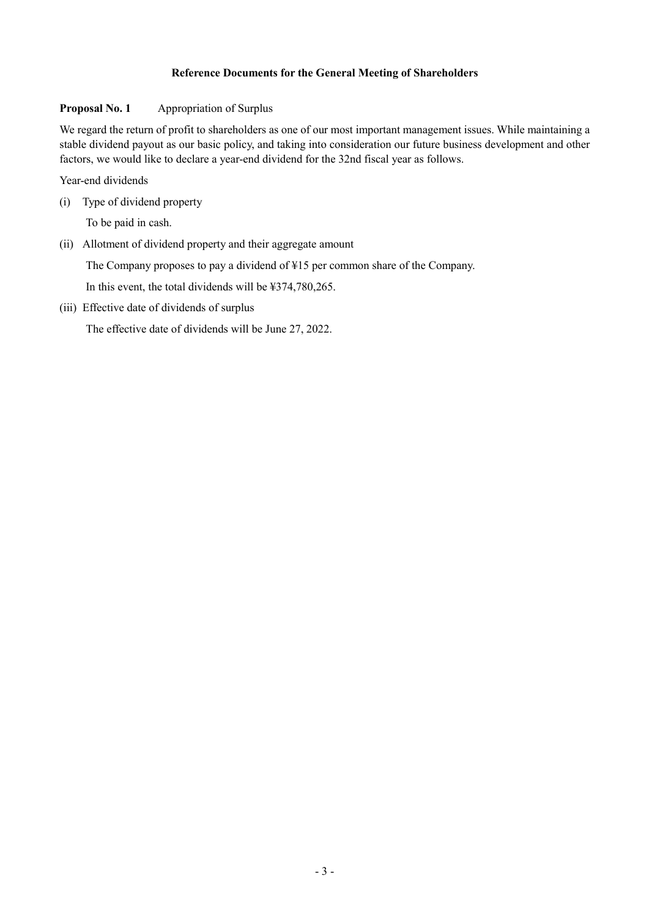# **Reference Documents for the General Meeting of Shareholders**

### **Proposal No. 1 Appropriation of Surplus**

We regard the return of profit to shareholders as one of our most important management issues. While maintaining a stable dividend payout as our basic policy, and taking into consideration our future business development and other factors, we would like to declare a year-end dividend for the 32nd fiscal year as follows.

Year-end dividends

(i) Type of dividend property

To be paid in cash.

(ii) Allotment of dividend property and their aggregate amount

The Company proposes to pay a dividend of ¥15 per common share of the Company.

In this event, the total dividends will be ¥374,780,265.

(iii) Effective date of dividends of surplus

The effective date of dividends will be June 27, 2022.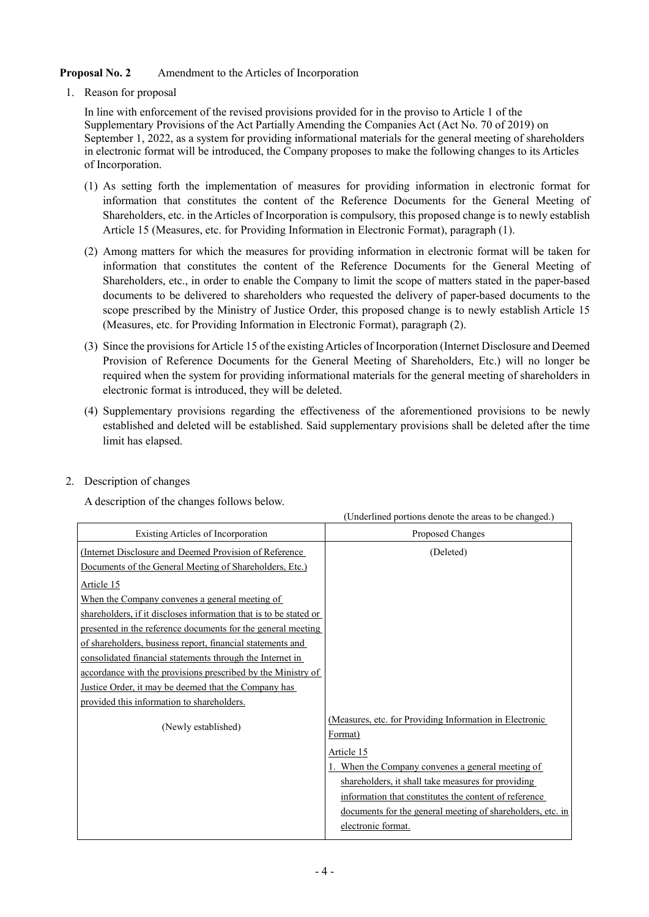# **Proposal No. 2** Amendment to the Articles of Incorporation

1. Reason for proposal

In line with enforcement of the revised provisions provided for in the proviso to Article 1 of the Supplementary Provisions of the Act Partially Amending the Companies Act (Act No. 70 of 2019) on September 1, 2022, as a system for providing informational materials for the general meeting of shareholders in electronic format will be introduced, the Company proposes to make the following changes to its Articles of Incorporation.

- (1) As setting forth the implementation of measures for providing information in electronic format for information that constitutes the content of the Reference Documents for the General Meeting of Shareholders, etc. in the Articles of Incorporation is compulsory, this proposed change is to newly establish Article 15 (Measures, etc. for Providing Information in Electronic Format), paragraph (1).
- (2) Among matters for which the measures for providing information in electronic format will be taken for information that constitutes the content of the Reference Documents for the General Meeting of Shareholders, etc., in order to enable the Company to limit the scope of matters stated in the paper-based documents to be delivered to shareholders who requested the delivery of paper-based documents to the scope prescribed by the Ministry of Justice Order, this proposed change is to newly establish Article 15 (Measures, etc. for Providing Information in Electronic Format), paragraph (2).
- (3) Since the provisions for Article 15 of the existing Articles of Incorporation (Internet Disclosure and Deemed Provision of Reference Documents for the General Meeting of Shareholders, Etc.) will no longer be required when the system for providing informational materials for the general meeting of shareholders in electronic format is introduced, they will be deleted.
- (4) Supplementary provisions regarding the effectiveness of the aforementioned provisions to be newly established and deleted will be established. Said supplementary provisions shall be deleted after the time limit has elapsed.
- 2. Description of changes

A description of the changes follows below.

|                                                                   | (Underlined portions denote the areas to be changed.)      |  |  |  |
|-------------------------------------------------------------------|------------------------------------------------------------|--|--|--|
| Existing Articles of Incorporation                                | Proposed Changes                                           |  |  |  |
| (Internet Disclosure and Deemed Provision of Reference)           | (Deleted)                                                  |  |  |  |
| Documents of the General Meeting of Shareholders, Etc.)           |                                                            |  |  |  |
| Article 15                                                        |                                                            |  |  |  |
| When the Company convenes a general meeting of                    |                                                            |  |  |  |
| shareholders, if it discloses information that is to be stated or |                                                            |  |  |  |
| presented in the reference documents for the general meeting      |                                                            |  |  |  |
| of shareholders, business report, financial statements and        |                                                            |  |  |  |
| consolidated financial statements through the Internet in         |                                                            |  |  |  |
| accordance with the provisions prescribed by the Ministry of      |                                                            |  |  |  |
| Justice Order, it may be deemed that the Company has              |                                                            |  |  |  |
| provided this information to shareholders.                        |                                                            |  |  |  |
| (Newly established)                                               | (Measures, etc. for Providing Information in Electronic    |  |  |  |
|                                                                   | Format)                                                    |  |  |  |
|                                                                   | Article 15                                                 |  |  |  |
|                                                                   | When the Company convenes a general meeting of             |  |  |  |
|                                                                   | shareholders, it shall take measures for providing         |  |  |  |
|                                                                   | information that constitutes the content of reference      |  |  |  |
|                                                                   | documents for the general meeting of shareholders, etc. in |  |  |  |
|                                                                   | electronic format.                                         |  |  |  |
|                                                                   |                                                            |  |  |  |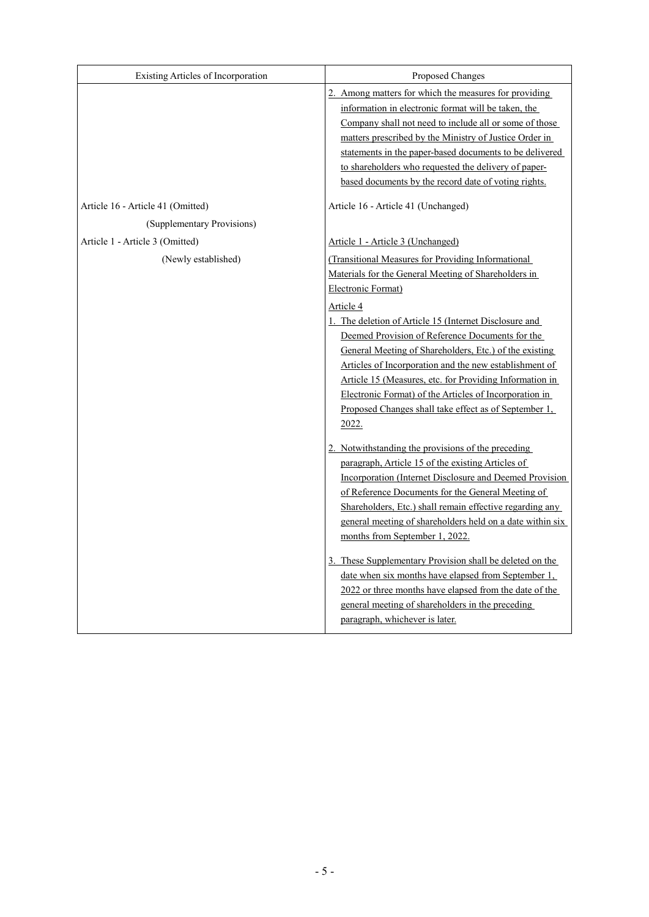| Existing Articles of Incorporation | Proposed Changes                                                                                                                                                                                                                                                                                                                                                                                                                                                                                                                                                                                                                                                                                            |
|------------------------------------|-------------------------------------------------------------------------------------------------------------------------------------------------------------------------------------------------------------------------------------------------------------------------------------------------------------------------------------------------------------------------------------------------------------------------------------------------------------------------------------------------------------------------------------------------------------------------------------------------------------------------------------------------------------------------------------------------------------|
|                                    | 2. Among matters for which the measures for providing<br>information in electronic format will be taken, the<br>Company shall not need to include all or some of those<br>matters prescribed by the Ministry of Justice Order in<br>statements in the paper-based documents to be delivered<br>to shareholders who requested the delivery of paper-<br>based documents by the record date of voting rights.                                                                                                                                                                                                                                                                                                 |
| Article 16 - Article 41 (Omitted)  | Article 16 - Article 41 (Unchanged)                                                                                                                                                                                                                                                                                                                                                                                                                                                                                                                                                                                                                                                                         |
| (Supplementary Provisions)         |                                                                                                                                                                                                                                                                                                                                                                                                                                                                                                                                                                                                                                                                                                             |
| Article 1 - Article 3 (Omitted)    | Article 1 - Article 3 (Unchanged)                                                                                                                                                                                                                                                                                                                                                                                                                                                                                                                                                                                                                                                                           |
| (Newly established)                | (Transitional Measures for Providing Informational<br>Materials for the General Meeting of Shareholders in<br>Electronic Format)                                                                                                                                                                                                                                                                                                                                                                                                                                                                                                                                                                            |
|                                    | Article 4                                                                                                                                                                                                                                                                                                                                                                                                                                                                                                                                                                                                                                                                                                   |
|                                    | 1. The deletion of Article 15 (Internet Disclosure and<br>Deemed Provision of Reference Documents for the<br>General Meeting of Shareholders, Etc.) of the existing<br>Articles of Incorporation and the new establishment of<br>Article 15 (Measures, etc. for Providing Information in<br>Electronic Format) of the Articles of Incorporation in<br>Proposed Changes shall take effect as of September 1,<br>2022.<br>2. Notwithstanding the provisions of the preceding<br>paragraph, Article 15 of the existing Articles of<br>Incorporation (Internet Disclosure and Deemed Provision<br>of Reference Documents for the General Meeting of<br>Shareholders, Etc.) shall remain effective regarding any |
|                                    | general meeting of shareholders held on a date within six<br>months from September 1, 2022.<br>3. These Supplementary Provision shall be deleted on the<br>date when six months have elapsed from September 1,<br>2022 or three months have elapsed from the date of the<br>general meeting of shareholders in the preceding<br>paragraph, whichever is later.                                                                                                                                                                                                                                                                                                                                              |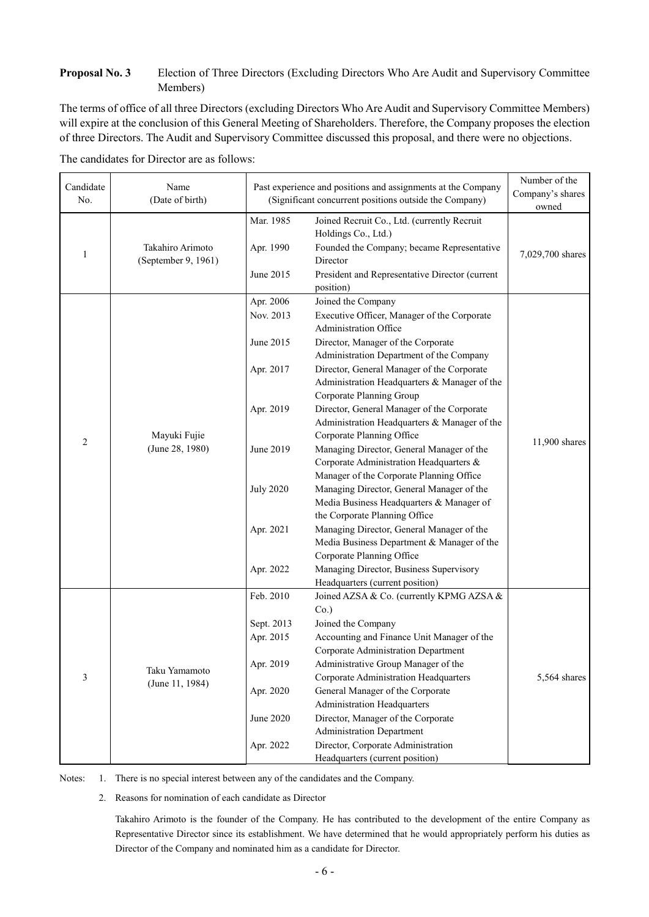## **Proposal No. 3** Election of Three Directors (Excluding Directors Who Are Audit and Supervisory Committee Members)

The terms of office of all three Directors (excluding Directors Who Are Audit and Supervisory Committee Members) will expire at the conclusion of this General Meeting of Shareholders. Therefore, the Company proposes the election of three Directors. The Audit and Supervisory Committee discussed this proposal, and there were no objections.

|  |  | The candidates for Director are as follows: |
|--|--|---------------------------------------------|
|--|--|---------------------------------------------|

| Candidate<br>No. | Name<br>(Date of birth)                 | Past experience and positions and assignments at the Company<br>(Significant concurrent positions outside the Company)   | Number of the<br>Company's shares<br>owned                                                                                                                                                                                                                                                                                                                                                                                                                                                                                                                                                                                                                                                                                                                                                                                                                                                            |              |  |
|------------------|-----------------------------------------|--------------------------------------------------------------------------------------------------------------------------|-------------------------------------------------------------------------------------------------------------------------------------------------------------------------------------------------------------------------------------------------------------------------------------------------------------------------------------------------------------------------------------------------------------------------------------------------------------------------------------------------------------------------------------------------------------------------------------------------------------------------------------------------------------------------------------------------------------------------------------------------------------------------------------------------------------------------------------------------------------------------------------------------------|--------------|--|
| 1                | Takahiro Arimoto<br>(September 9, 1961) | Mar. 1985<br>Apr. 1990<br>June 2015                                                                                      | Joined Recruit Co., Ltd. (currently Recruit<br>Holdings Co., Ltd.)<br>Founded the Company; became Representative<br>Director<br>President and Representative Director (current<br>position)                                                                                                                                                                                                                                                                                                                                                                                                                                                                                                                                                                                                                                                                                                           |              |  |
| $\overline{2}$   | Mayuki Fujie<br>(June 28, 1980)         | Apr. 2006<br>Nov. 2013<br>June 2015<br>Apr. 2017<br>Apr. 2019<br>June 2019<br><b>July 2020</b><br>Apr. 2021<br>Apr. 2022 | Joined the Company<br>Executive Officer, Manager of the Corporate<br>Administration Office<br>Director, Manager of the Corporate<br>Administration Department of the Company<br>Director, General Manager of the Corporate<br>Administration Headquarters & Manager of the<br>Corporate Planning Group<br>Director, General Manager of the Corporate<br>Administration Headquarters & Manager of the<br>Corporate Planning Office<br>Managing Director, General Manager of the<br>Corporate Administration Headquarters &<br>Manager of the Corporate Planning Office<br>Managing Director, General Manager of the<br>Media Business Headquarters & Manager of<br>the Corporate Planning Office<br>Managing Director, General Manager of the<br>Media Business Department & Manager of the<br>Corporate Planning Office<br>Managing Director, Business Supervisory<br>Headquarters (current position) |              |  |
| 3                | Taku Yamamoto<br>(June 11, 1984)        | Feb. 2010<br>Sept. 2013<br>Apr. 2015<br>Apr. 2019<br>Apr. 2020<br>June 2020<br>Apr. 2022                                 | Joined AZSA & Co. (currently KPMG AZSA &<br>$Co.$ )<br>Joined the Company<br>Accounting and Finance Unit Manager of the<br>Corporate Administration Department<br>Administrative Group Manager of the<br>Corporate Administration Headquarters<br>General Manager of the Corporate<br>Administration Headquarters<br>Director, Manager of the Corporate<br><b>Administration Department</b><br>Director, Corporate Administration<br>Headquarters (current position)                                                                                                                                                                                                                                                                                                                                                                                                                                  | 5,564 shares |  |

Notes: 1. There is no special interest between any of the candidates and the Company.

2. Reasons for nomination of each candidate as Director

Takahiro Arimoto is the founder of the Company. He has contributed to the development of the entire Company as Representative Director since its establishment. We have determined that he would appropriately perform his duties as Director of the Company and nominated him as a candidate for Director.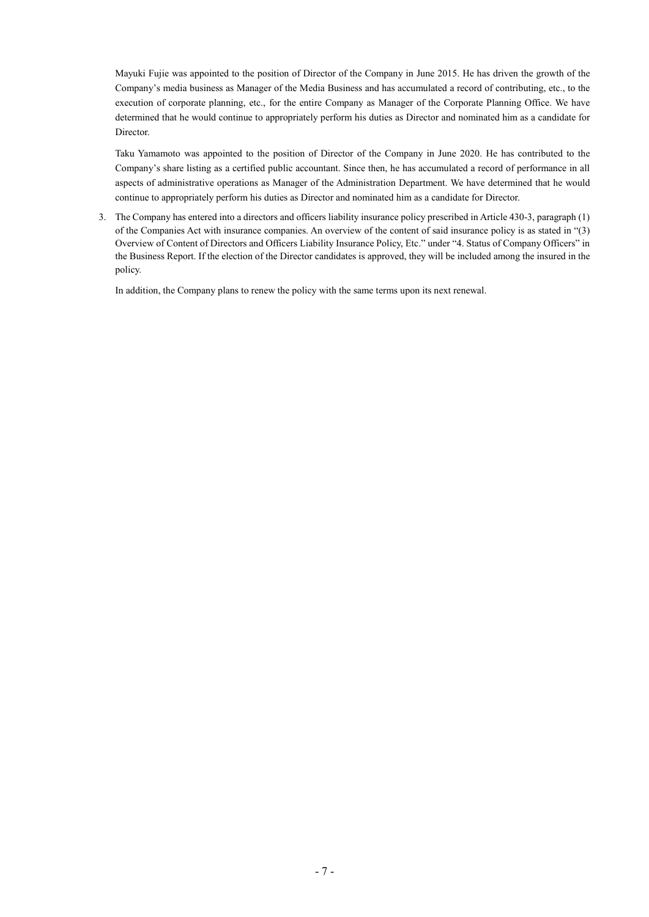Mayuki Fujie was appointed to the position of Director of the Company in June 2015. He has driven the growth of the Company's media business as Manager of the Media Business and has accumulated a record of contributing, etc., to the execution of corporate planning, etc., for the entire Company as Manager of the Corporate Planning Office. We have determined that he would continue to appropriately perform his duties as Director and nominated him as a candidate for Director.

Taku Yamamoto was appointed to the position of Director of the Company in June 2020. He has contributed to the Company's share listing as a certified public accountant. Since then, he has accumulated a record of performance in all aspects of administrative operations as Manager of the Administration Department. We have determined that he would continue to appropriately perform his duties as Director and nominated him as a candidate for Director.

3. The Company has entered into a directors and officers liability insurance policy prescribed in Article 430-3, paragraph (1) of the Companies Act with insurance companies. An overview of the content of said insurance policy is as stated in "(3) Overview of Content of Directors and Officers Liability Insurance Policy, Etc." under "4. Status of Company Officers" in the Business Report. If the election of the Director candidates is approved, they will be included among the insured in the policy.

In addition, the Company plans to renew the policy with the same terms upon its next renewal.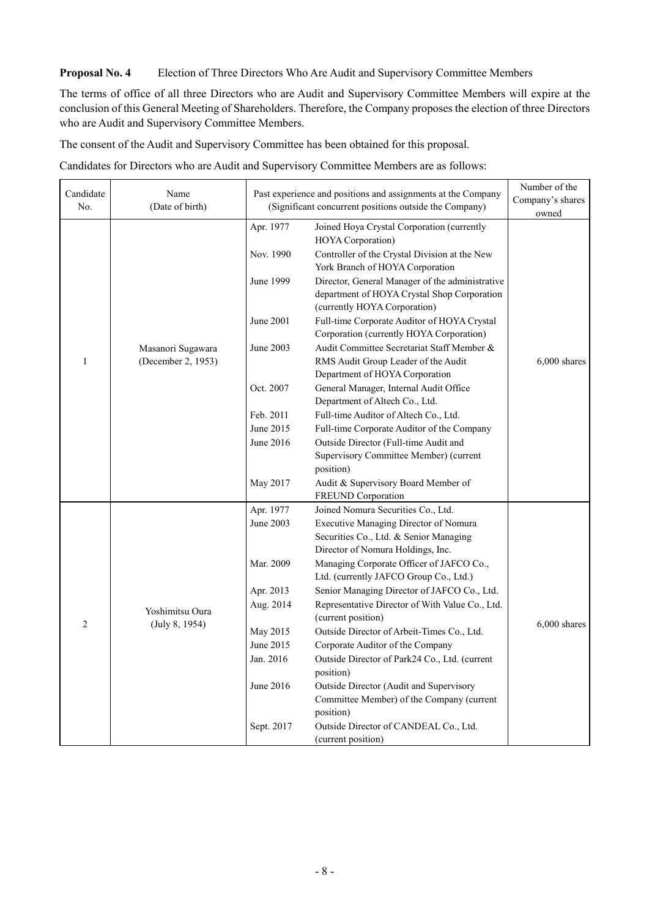### **Proposal No. 4** Election of Three Directors Who Are Audit and Supervisory Committee Members

The terms of office of all three Directors who are Audit and Supervisory Committee Members will expire at the conclusion of this General Meeting of Shareholders. Therefore, the Company proposes the election of three Directors who are Audit and Supervisory Committee Members.

The consent of the Audit and Supervisory Committee has been obtained for this proposal.

Candidates for Directors who are Audit and Supervisory Committee Members are as follows:

| Candidate      | Name               |                        | Past experience and positions and assignments at the Company                                                     |                |  |  |
|----------------|--------------------|------------------------|------------------------------------------------------------------------------------------------------------------|----------------|--|--|
| No.            | (Date of birth)    |                        | (Significant concurrent positions outside the Company)                                                           |                |  |  |
|                |                    |                        |                                                                                                                  | owned          |  |  |
|                |                    | Apr. 1977<br>Nov. 1990 | Joined Hoya Crystal Corporation (currently<br>HOYA Corporation)<br>Controller of the Crystal Division at the New |                |  |  |
|                |                    |                        | York Branch of HOYA Corporation                                                                                  |                |  |  |
|                |                    | June 1999              | Director, General Manager of the administrative                                                                  |                |  |  |
|                |                    |                        | department of HOYA Crystal Shop Corporation                                                                      |                |  |  |
|                |                    |                        | (currently HOYA Corporation)                                                                                     |                |  |  |
|                |                    | June 2001              | Full-time Corporate Auditor of HOYA Crystal<br>Corporation (currently HOYA Corporation)                          |                |  |  |
|                | Masanori Sugawara  | June 2003              | Audit Committee Secretariat Staff Member &                                                                       |                |  |  |
| $\mathbf{1}$   | (December 2, 1953) |                        | RMS Audit Group Leader of the Audit                                                                              | $6,000$ shares |  |  |
|                |                    |                        | Department of HOYA Corporation                                                                                   |                |  |  |
|                |                    | Oct. 2007              | General Manager, Internal Audit Office                                                                           |                |  |  |
|                |                    |                        | Department of Altech Co., Ltd.                                                                                   |                |  |  |
|                |                    | Feb. 2011              | Full-time Auditor of Altech Co., Ltd.                                                                            |                |  |  |
|                |                    | June 2015              | Full-time Corporate Auditor of the Company                                                                       |                |  |  |
|                |                    | June 2016              | Outside Director (Full-time Audit and                                                                            |                |  |  |
|                |                    |                        | Supervisory Committee Member) (current                                                                           |                |  |  |
|                |                    |                        | position)                                                                                                        |                |  |  |
|                |                    | May 2017               | Audit & Supervisory Board Member of                                                                              |                |  |  |
|                |                    |                        | FREUND Corporation                                                                                               |                |  |  |
|                |                    | Apr. 1977              | Joined Nomura Securities Co., Ltd.                                                                               |                |  |  |
|                |                    | June 2003              | Executive Managing Director of Nomura                                                                            |                |  |  |
|                |                    |                        | Securities Co., Ltd. & Senior Managing<br>Director of Nomura Holdings, Inc.                                      |                |  |  |
|                |                    | Mar. 2009              | Managing Corporate Officer of JAFCO Co.,                                                                         |                |  |  |
|                |                    |                        | Ltd. (currently JAFCO Group Co., Ltd.)                                                                           |                |  |  |
|                |                    | Apr. 2013              | Senior Managing Director of JAFCO Co., Ltd.                                                                      |                |  |  |
|                |                    | Aug. 2014              | Representative Director of With Value Co., Ltd.                                                                  |                |  |  |
|                | Yoshimitsu Oura    |                        | (current position)                                                                                               |                |  |  |
| $\overline{2}$ | (July 8, 1954)     | May 2015               | Outside Director of Arbeit-Times Co., Ltd.                                                                       | $6,000$ shares |  |  |
|                |                    | June 2015              | Corporate Auditor of the Company                                                                                 |                |  |  |
|                |                    | Jan. 2016              | Outside Director of Park24 Co., Ltd. (current                                                                    |                |  |  |
|                |                    |                        | position)                                                                                                        |                |  |  |
|                |                    | June 2016              | Outside Director (Audit and Supervisory                                                                          |                |  |  |
|                |                    |                        | Committee Member) of the Company (current                                                                        |                |  |  |
|                |                    |                        | position)                                                                                                        |                |  |  |
|                |                    | Sept. 2017             | Outside Director of CANDEAL Co., Ltd.                                                                            |                |  |  |
|                |                    |                        | (current position)                                                                                               |                |  |  |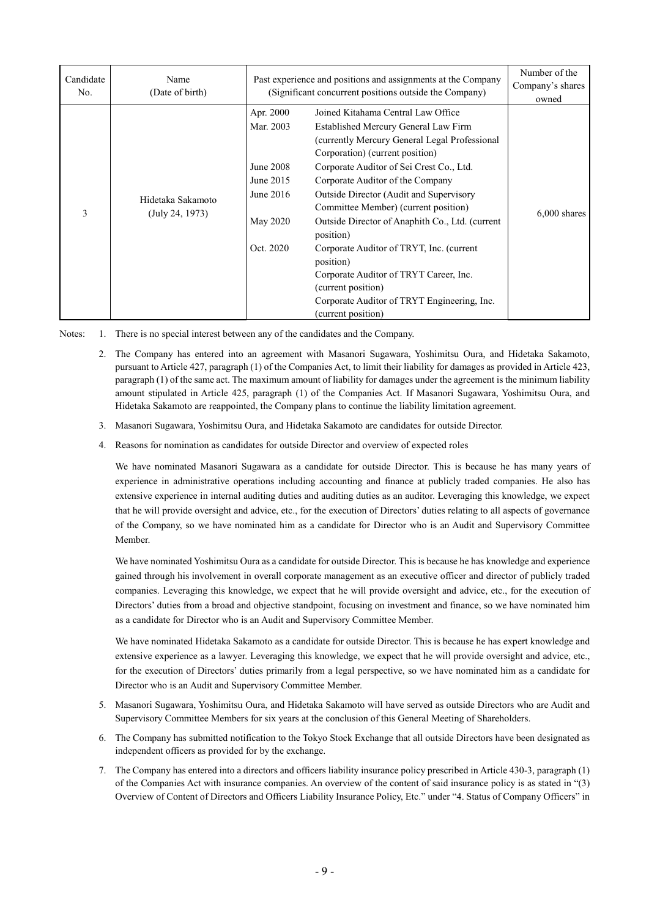| Candidate | Name                                 |                                                                                        | Past experience and positions and assignments at the Company                                                                                                                                                                                                                                                                                                                                                                                                                                                                                                                                     |                |  |
|-----------|--------------------------------------|----------------------------------------------------------------------------------------|--------------------------------------------------------------------------------------------------------------------------------------------------------------------------------------------------------------------------------------------------------------------------------------------------------------------------------------------------------------------------------------------------------------------------------------------------------------------------------------------------------------------------------------------------------------------------------------------------|----------------|--|
| No.       | (Date of birth)                      |                                                                                        | (Significant concurrent positions outside the Company)                                                                                                                                                                                                                                                                                                                                                                                                                                                                                                                                           |                |  |
| 3         | Hidetaka Sakamoto<br>(July 24, 1973) | Apr. 2000<br>Mar. 2003<br>June 2008<br>June 2015<br>June 2016<br>May 2020<br>Oct. 2020 | Joined Kitahama Central Law Office<br>Established Mercury General Law Firm<br>(currently Mercury General Legal Professional)<br>Corporation) (current position)<br>Corporate Auditor of Sei Crest Co., Ltd.<br>Corporate Auditor of the Company<br>Outside Director (Audit and Supervisory<br>Committee Member) (current position)<br>Outside Director of Anaphith Co., Ltd. (current<br>position)<br>Corporate Auditor of TRYT, Inc. (current<br>position)<br>Corporate Auditor of TRYT Career, Inc.<br>(current position)<br>Corporate Auditor of TRYT Engineering, Inc.<br>(current position) | $6,000$ shares |  |

Notes: 1. There is no special interest between any of the candidates and the Company.

- 2. The Company has entered into an agreement with Masanori Sugawara, Yoshimitsu Oura, and Hidetaka Sakamoto, pursuant to Article 427, paragraph (1) of the Companies Act, to limit their liability for damages as provided in Article 423, paragraph (1) of the same act. The maximum amount of liability for damages under the agreement is the minimum liability amount stipulated in Article 425, paragraph (1) of the Companies Act. If Masanori Sugawara, Yoshimitsu Oura, and Hidetaka Sakamoto are reappointed, the Company plans to continue the liability limitation agreement.
- 3. Masanori Sugawara, Yoshimitsu Oura, and Hidetaka Sakamoto are candidates for outside Director.
- 4. Reasons for nomination as candidates for outside Director and overview of expected roles

We have nominated Masanori Sugawara as a candidate for outside Director. This is because he has many years of experience in administrative operations including accounting and finance at publicly traded companies. He also has extensive experience in internal auditing duties and auditing duties as an auditor. Leveraging this knowledge, we expect that he will provide oversight and advice, etc., for the execution of Directors' duties relating to all aspects of governance of the Company, so we have nominated him as a candidate for Director who is an Audit and Supervisory Committee Member.

We have nominated Yoshimitsu Oura as a candidate for outside Director. This is because he has knowledge and experience gained through his involvement in overall corporate management as an executive officer and director of publicly traded companies. Leveraging this knowledge, we expect that he will provide oversight and advice, etc., for the execution of Directors' duties from a broad and objective standpoint, focusing on investment and finance, so we have nominated him as a candidate for Director who is an Audit and Supervisory Committee Member.

We have nominated Hidetaka Sakamoto as a candidate for outside Director. This is because he has expert knowledge and extensive experience as a lawyer. Leveraging this knowledge, we expect that he will provide oversight and advice, etc., for the execution of Directors' duties primarily from a legal perspective, so we have nominated him as a candidate for Director who is an Audit and Supervisory Committee Member.

- 5. Masanori Sugawara, Yoshimitsu Oura, and Hidetaka Sakamoto will have served as outside Directors who are Audit and Supervisory Committee Members for six years at the conclusion of this General Meeting of Shareholders.
- 6. The Company has submitted notification to the Tokyo Stock Exchange that all outside Directors have been designated as independent officers as provided for by the exchange.
- 7. The Company has entered into a directors and officers liability insurance policy prescribed in Article 430-3, paragraph (1) of the Companies Act with insurance companies. An overview of the content of said insurance policy is as stated in "(3) Overview of Content of Directors and Officers Liability Insurance Policy, Etc." under "4. Status of Company Officers" in